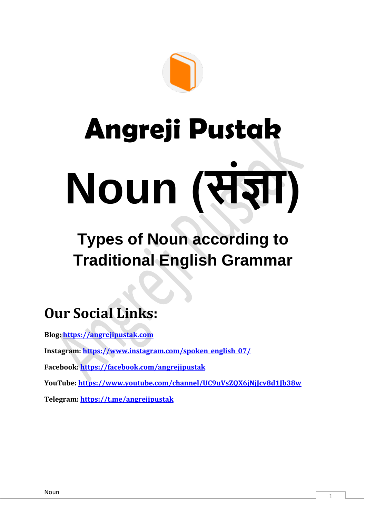

# **Angreji Pustak Noun (संज्ञा)**

# **Types of Noun according to Traditional English Grammar**

## **Our Social Links:**

**Blog: [https://angrejipustak.com](https://angrejipustak.com/) Instagram: [https://www.instagram.com/spoken\\_english\\_07/](https://www.instagram.com/spoken_english_07/) Facebook:<https://facebook.com/angrejipustak> YouTube:<https://www.youtube.com/channel/UC9uVsZQX6jNjJcv8d1Jb38w> Telegram:<https://t.me/angrejipustak>**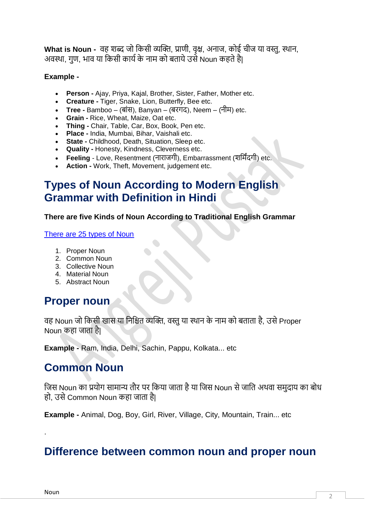**What is Noun -** वह शब्द जो किसी व्यक्ति, प्राणी, वृक्ष, अनाज, िोई चीज या वस्तु, स्थान, अवस्था, गण, भाव या किसी कार्य के नाम को बताये उसे Noun कहते हैं।

#### **Example -**

- **Person -** Ajay, Priya, Kajal, Brother, Sister, Father, Mother etc.
- **Creature -** Tiger, Snake, Lion, Butterfly, Bee etc.
- **Tree -** Bamboo (बाांस), Banyan (बरगद), Neem (नीम) etc.
- **Grain -** Rice, Wheat, Maize, Oat etc.
- **Thing -** Chair, Table, Car, Box, Book, Pen etc.
- **Place -** India, Mumbai, Bihar, Vaishali etc.
- **State -** Childhood, Death, Situation, Sleep etc.
- **Quality -** Honesty, Kindness, Cleverness etc.
- **Feeling** Love, Resentment (नाराजगी), Embarrassment (शकमिंदगी) etc.
- **Action -** Work, Theft, Movement, judgement etc.

## **Types of Noun According to Modern English Grammar with Definition in Hindi**

#### **There are five Kinds of Noun According to Traditional English Grammar**

#### [There are 25 types of Noun](https://angrejipustak.com/noun-types-definition-in-hindi/)

- 1. Proper Noun
- 2. Common Noun
- 3. Collective Noun
- 4. Material Noun
- 5. Abstract Noun

## **Proper** noun

वह Noun जो किसी खास या निश्चित व्यक्ति. वस्तु या स्थान के नाम को बताता है. उसे Proper Noun कहा जाता है|

**Example -** Ram, India, Delhi, Sachin, Pappu, Kolkata... etc

## **Common Noun**

जिस Noun का प्रयोग सामान्य तौर पर किया जाता है या जिस Noun से जाति अथवा समुदाय का बोध हो, उसे Common Noun कहा जाता है|

**Example -** Animal, Dog, Boy, Girl, River, Village, City, Mountain, Train... etc

## **Difference between common noun and proper noun**

.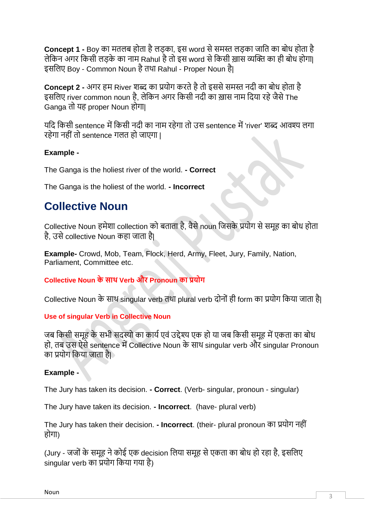**Concept 1 -** Boy का मतलब होता है लड़का, इस word से समस्त लड़का जाति का बोध होता है लेकिन अगर किसी लड़के का नाम Rahul है तो इस word से किसी ख़ास व्यक्ति का ही बोध होगा| इसलिए Boy - Common Noun है तथा Rahul - Proper Noun है|

**Concept 2 -** अगर हम River शब्द का प्रयोग करते है तो इससे समस्त नदी का बोध होता है इसलिए river common noun है, लेकिन अगर किसी नदी का ख़ास नाम दिया रहे जैसे The Ganga तो यह proper Noun होगा|

यदि किसी sentence में किसी नदी का नाम रहेगा तो उस sentence में 'river' शब्द आवश्य लगा रहेगा नही ांतो sentence गलत हो जाएगा |

## **Example -**

The Ganga is the holiest river of the world. **- Correct**

The Ganga is the holiest of the world. **- Incorrect**

## **Collective Noun**

Collective Noun हमेशा collection को बताता है, वैसे noun जिसके प्रयोग से समूह का बोध होता है, उसे collective Noun कहा जाता है।

**Example-** Crowd, Mob, Team, Flock, Herd, Army, Fleet, Jury, Family, Nation, Parliament, Committee etc.

**Collective Noun के साथ Verb और Pronoun का प्रयोग**

Collective Noun के साथ singular verb तथा plural verb दोनों ही form का प्रयोग किया जाता है।

## **Use of singular Verb in Collective Noun**

जब किसी समूह के सभी सदस्यो का कार्य एवं उद्देश्य एक हो या जब किसी समूह में एकता का बोध हो, तब उस ऐसे sentence में Collective Noun के साथ singular verb और singular Pronoun िा प्रयोग किया जाता है|

## **Example -**

The Jury has taken its decision. **- Correct**. (Verb- singular, pronoun - singular)

The Jury have taken its decision. **- Incorrect**. (have- plural verb)

The Jury has taken their decision. **- Incorrect**. (their- plural pronoun िा प्रयोग नही ां होगा)

(Jury - जजों के समूह ने कोई एक decision लिया समूह से एकता का बोध हो रहा है, इसलिए singular verb का प्रयोग किया गया है)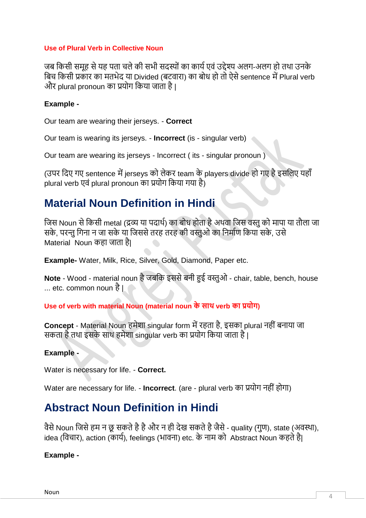#### **Use of Plural Verb in Collective Noun**

जब किसी समह से यह पता चले की सभी सदस्यों का कार्य एवं उद्देश्य अलग-अलग हो तथा उनके बिच किसी प्रकार का मतभेद या Divided (बटवारा) का बोध हो तो ऐसे sentence में Plural verb और plural pronoun का प्रयोग किया जाता है।

#### **Example -**

Our team are wearing their jerseys. - **Correct**

Our team is wearing its jerseys. - **Incorrect** (is - singular verb)

Our team are wearing its jerseys - Incorrect ( its - singular pronoun )

(उपर दिए गए sentence में jerseys को लेकर team के players divide हो गए है इसलिए यहाँ plural verb एवं plural pronoun का प्रयोग किया गया है)

## **Material Noun Definition in Hindi**

जिस Noun से किसी metal (द्रव्य या पदार्थ) का बोध होता है अथवा जिस वस्तु को मापा या तौला जा सके. परन्तु गिना न जा सके या जिससे तरह तरह की वस्तुओ का निर्माण किया सके. उसे Material Noun कहा जाता है।

**Example-** Water, Milk, Rice, Silver, Gold, Diamond, Paper etc.

**Note** - Wood - material noun हैजबकि इससेबनी हुई वस्तुओ - chair, table, bench, house ... etc. common noun है |

**Use of verb with material Noun (material noun के साथ verb का प्रयोग)**

**Concept** - Material Noun हमेशा singular form में रहता है. इसका plural नहीं बनाया जा सकता है तथा इसके साथ हमेशा singular verb का प्रयोग किया जाता है।

#### **Example -**

Water is necessary for life. - **Correct.**

Water are necessary for life. - **Incorrect**. (are - plural verb का प्रयोग नहीं होगा)

## **Abstract Noun Definition in Hindi**

वैसे Noun जिसे हम न छू सकते है है और न ही देख सकते है जैसे - quality (गुण), state (अवस्था), idea (विचार), action (कार्य), feelings (भावना) etc. के नाम को Abstract Noun कहते है।

### **Example -**